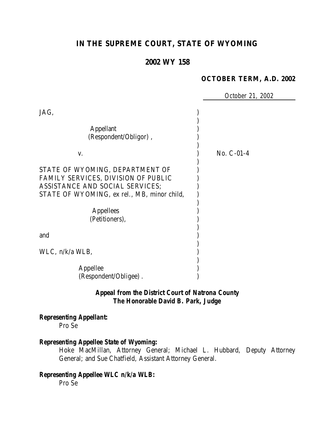# **IN THE SUPREME COURT, STATE OF WYOMING**

## **2002 WY 158**

#### **OCTOBER TERM, A.D. 2002**

*October 21, 2002*

| JAG,                                                                                                                                                                                                  |              |
|-------------------------------------------------------------------------------------------------------------------------------------------------------------------------------------------------------|--------------|
| <b>Appellant</b><br>(Respondent/Obligor),                                                                                                                                                             |              |
| V.                                                                                                                                                                                                    | $No. C-01-4$ |
| STATE OF WYOMING, DEPARTMENT OF<br><b>FAMILY SERVICES, DIVISION OF PUBLIC</b><br>ASSISTANCE AND SOCIAL SERVICES;<br>STATE OF WYOMING, ex rel., MB, minor child,<br><b>Appellees</b><br>(Petitioners), |              |
| and                                                                                                                                                                                                   |              |
| WLC, n/k/a WLB,                                                                                                                                                                                       |              |
| Appellee<br>(Respondent/Obligee).                                                                                                                                                                     |              |

## *Appeal from the District Court of Natrona County The Honorable David B. Park, Judge*

## *Representing Appellant:*

Pro Se

## *Representing Appellee State of Wyoming:*

Hoke MacMillan, Attorney General; Michael L. Hubbard, Deputy Attorney General; and Sue Chatfield, Assistant Attorney General.

## *Representing Appellee WLC n/k/a WLB:*

Pro Se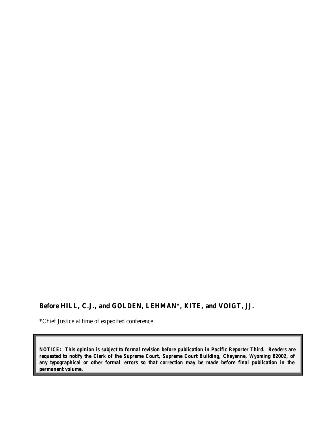## **Before HILL, C.J., and GOLDEN, LEHMAN\*, KITE, and VOIGT, JJ.**

\*Chief Justice at time of expedited conference.

*NOTICE: This opinion is subject to formal revision before publication in Pacific Reporter Third. Readers are requested to notify the Clerk of the Supreme Court, Supreme Court Building, Cheyenne, Wyoming 82002, of any typographical or other formal errors so that correction may be made before final publication in the permanent volume.*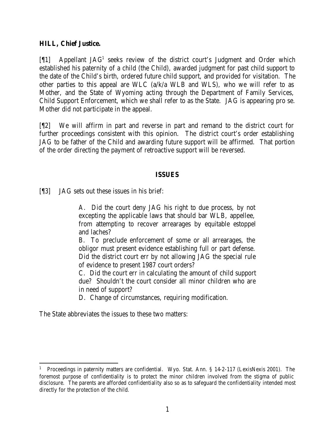### **HILL, Chief Justice.**

[1] Appellant JAG<sup>1</sup> seeks review of the district court's Judgment and Order which established his paternity of a child (the Child), awarded judgment for past child support to the date of the Child's birth, ordered future child support, and provided for visitation. The other parties to this appeal are WLC (a/k/a WLB and WLS), who we will refer to as Mother, and the State of Wyoming acting through the Department of Family Services, Child Support Enforcement, which we shall refer to as the State. JAG is appearing pro se. Mother did not participate in the appeal.

[¶2] We will affirm in part and reverse in part and remand to the district court for further proceedings consistent with this opinion. The district court's order establishing JAG to be father of the Child and awarding future support will be affirmed. That portion of the order directing the payment of retroactive support will be reversed.

### **ISSUES**

[¶3] JAG sets out these issues in his brief:

A. Did the court deny JAG his right to due process, by not excepting the applicable laws that should bar WLB, appellee, from attempting to recover arrearages by equitable estoppel and laches?

B. To preclude enforcement of some or all arrearages, the obligor must present evidence establishing full or part defense. Did the district court err by not allowing JAG the special rule of evidence to present 1987 court orders?

C. Did the court err in calculating the amount of child support due? Shouldn't the court consider all minor children who are in need of support?

D. Change of circumstances, requiring modification.

The State abbreviates the issues to these two matters:

<sup>1</sup> Proceedings in paternity matters are confidential. Wyo. Stat. Ann. § 14-2-117 (LexisNexis 2001). The foremost purpose of confidentiality is to protect the minor children involved from the stigma of public disclosure. The parents are afforded confidentiality also so as to safeguard the confidentiality intended most directly for the protection of the child.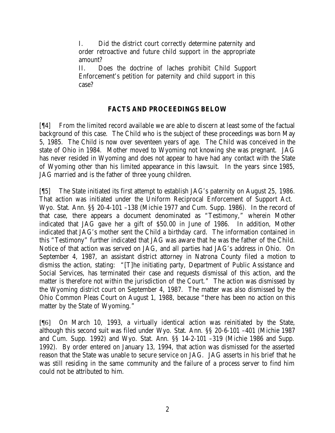I. Did the district court correctly determine paternity and order retroactive and future child support in the appropriate amount?

II. Does the doctrine of laches prohibit Child Support Enforcement's petition for paternity and child support in this case?

## **FACTS AND PROCEEDINGS BELOW**

[¶4] From the limited record available we are able to discern at least some of the factual background of this case. The Child who is the subject of these proceedings was born May 5, 1985. The Child is now over seventeen years of age. The Child was conceived in the state of Ohio in 1984. Mother moved to Wyoming not knowing she was pregnant. JAG has never resided in Wyoming and does not appear to have had any contact with the State of Wyoming other than his limited appearance in this lawsuit. In the years since 1985, JAG married and is the father of three young children.

[¶5] The State initiated its first attempt to establish JAG's paternity on August 25, 1986. That action was initiated under the Uniform Reciprocal Enforcement of Support Act. Wyo. Stat. Ann. §§ 20-4-101 –138 (Michie 1977 and Cum. Supp. 1986). In the record of that case, there appears a document denominated as "Testimony," wherein Mother indicated that JAG gave her a gift of \$50.00 in June of 1986. In addition, Mother indicated that JAG's mother sent the Child a birthday card. The information contained in this "Testimony" further indicated that JAG was aware that he was the father of the Child. Notice of that action was served on JAG, and all parties had JAG's address in Ohio. On September 4, 1987, an assistant district attorney in Natrona County filed a motion to dismiss the action, stating: "[T]he initiating party, Department of Public Assistance and Social Services, has terminated their case and requests dismissal of this action, and the matter is therefore not within the jurisdiction of the Court." The action was dismissed by the Wyoming district court on September 4, 1987. The matter was also dismissed by the Ohio Common Pleas Court on August 1, 1988, because "there has been no action on this matter by the State of Wyoming."

[¶6] On March 10, 1993, a virtually identical action was reinitiated by the State, although this second suit was filed under Wyo. Stat. Ann. §§ 20-6-101 –401 (Michie 1987 and Cum. Supp. 1992) and Wyo. Stat. Ann. §§ 14-2-101 –319 (Michie 1986 and Supp. 1992). By order entered on January 13, 1994, that action was dismissed for the asserted reason that the State was unable to secure service on JAG. JAG asserts in his brief that he was still residing in the same community and the failure of a process server to find him could not be attributed to him.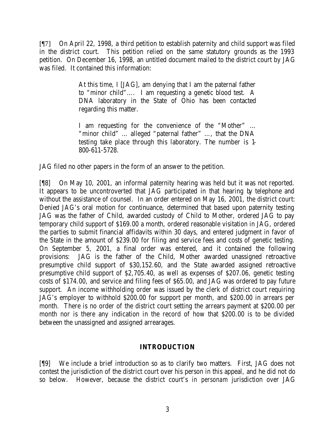[¶7] On April 22, 1998, a third petition to establish paternity and child support was filed in the district court. This petition relied on the same statutory grounds as the 1993 petition. On December 16, 1998, an untitled document mailed to the district court by JAG was filed. It contained this information:

> At this time, I [JAG], am denying that I am the paternal father to "minor child"…. I am requesting a genetic blood test. A DNA laboratory in the State of Ohio has been contacted regarding this matter.

> I am requesting for the convenience of the "Mother" … "minor child" … alleged "paternal father" …, that the DNA testing take place through this laboratory. The number is 1- 800-611-5728.

JAG filed no other papers in the form of an answer to the petition.

[¶8] On May 10, 2001, an informal paternity hearing was held but it was not reported. It appears to be uncontroverted that JAG participated in that hearing by telephone and without the assistance of counsel. In an order entered on May 16, 2001, the district court: Denied JAG's oral motion for continuance, determined that based upon paternity testing JAG was the father of Child, awarded custody of Child to Mother, ordered JAG to pay temporary child support of \$169.00 a month, ordered reasonable visitation in JAG, ordered the parties to submit financial affidavits within 30 days, and entered judgment in favor of the State in the amount of \$239.00 for filing and service fees and costs of genetic testing. On September 5, 2001, a final order was entered, and it contained the following provisions: JAG is the father of the Child, Mother awarded unassigned retroactive presumptive child support of \$30,152.60, and the State awarded assigned retroactive presumptive child support of \$2,705.40, as well as expenses of \$207.06, genetic testing costs of \$174.00, and service and filing fees of \$65.00, and JAG was ordered to pay future support. An income withholding order was issued by the clerk of district court requiring JAG's employer to withhold \$200.00 for support per month, and \$200.00 in arrears per month. There is no order of the district court setting the arrears payment at \$200.00 per month nor is there any indication in the record of how that \$200.00 is to be divided between the unassigned and assigned arrearages.

## **INTRODUCTION**

[¶9] We include a brief introduction so as to clarify two matters. First, JAG does not contest the jurisdiction of the district court over his person in this appeal, and he did not do so below. However, because the district court's *in personam* jurisdiction over JAG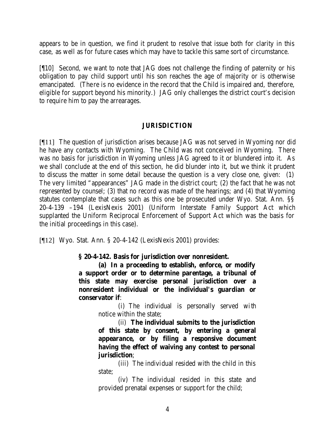appears to be in question, we find it prudent to resolve that issue both for clarity in this case, as well as for future cases which may have to tackle this same sort of circumstance.

[¶10] Second, we want to note that JAG does not challenge the finding of paternity or his obligation to pay child support until his son reaches the age of majority or is otherwise emancipated. (There is no evidence in the record that the Child is impaired and, therefore, eligible for support beyond his minority.) JAG only challenges the district court's decision to require him to pay the arrearages.

#### **JURISDICTION**

[¶11] The question of jurisdiction arises because JAG was not served in Wyoming nor did he have any contacts with Wyoming. The Child was not conceived in Wyoming. There was no basis for jurisdiction in Wyoming unless JAG agreed to it or blundered into it. As we shall conclude at the end of this section, he did blunder into it, but we think it prudent to discuss the matter in some detail because the question is a very close one, given: (1) The very limited "appearances" JAG made in the district court; (2) the fact that he was not represented by counsel; (3) that no record was made of the hearings; and (4) that Wyoming statutes contemplate that cases such as this one be prosecuted under Wyo. Stat. Ann. §§ 20-4-139 –194 (LexisNexis 2001) (Uniform Interstate Family Support Act which supplanted the Uniform Reciprocal Enforcement of Support Act which was the basis for the initial proceedings in this case).

[¶12] Wyo. Stat. Ann. § 20-4-142 (LexisNexis 2001) provides:

**§ 20-4-142. Basis for jurisdiction over nonresident.**

**(a) In a proceeding to establish, enforce, or modify a support order or to determine parentage, a tribunal of this state may exercise personal jurisdiction over a nonresident individual or the individual's guardian or conservator if**:

> (i) The individual is personally served with notice within the state;

> (ii) **The individual submits to the jurisdiction of this state by consent, by entering a general appearance, or by filing a responsive document having the effect of waiving any contest to personal jurisdiction**;

> (iii) The individual resided with the child in this state;

> (iv) The individual resided in this state and provided prenatal expenses or support for the child;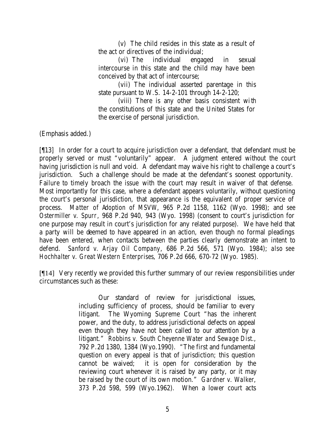(v) The child resides in this state as a result of the act or directives of the individual;

(vi) The individual engaged in sexual intercourse in this state and the child may have been conceived by that act of intercourse;

(vii) The individual asserted parentage in this state pursuant to W.S. 14-2-101 through 14-2-120;

(viii) There is any other basis consistent with the constitutions of this state and the United States for the exercise of personal jurisdiction.

(Emphasis added.)

[¶13] In order for a court to acquire jurisdiction over a defendant, that defendant must be properly served or must "voluntarily" appear. A judgment entered without the court having jurisdiction is null and void. A defendant may waive his right to challenge a court's jurisdiction. Such a challenge should be made at the defendant's soonest opportunity. Failure to timely broach the issue with the court may result in waiver of that defense. Most importantly for this case, where a defendant appears voluntarily, without questioning the court's personal jurisdiction, that appearance is the equivalent of proper service of process. *Matter of Adoption of MSVW*, 965 P.2d 1158, 1162 (Wyo. 1998); and *see Ostermiller v. Spurr*, 968 P.2d 940, 943 (Wyo. 1998) (consent to court's jurisdiction for one purpose may result in court's jurisdiction for any related purpose). We have held that a party will be deemed to have appeared in an action, even though no formal pleadings have been entered, when contacts between the parties clearly demonstrate an intent to defend. *Sanford v. Arjay Oil Company*, 686 P.2d 566, 571 (Wyo. 1984); *also see Hochhalter v. Great Western Enterprises*, 706 P.2d 666, 670-72 (Wyo. 1985).

[¶14] Very recently we provided this further summary of our review responsibilities under circumstances such as these:

> Our standard of review for jurisdictional issues, including sufficiency of process, should be familiar to every litigant. The Wyoming Supreme Court "has the inherent power, and the duty, to address jurisdictional defects on appeal even though they have not been called to our attention by a litigant." *Robbins v. South Cheyenne Water and Sewage Dist.*, 792 P.2d 1380, 1384 (Wyo.1990). "The first and fundamental question on every appeal is that of jurisdiction; this question cannot be waived; it is open for consideration by the reviewing court whenever it is raised by any party, or it may be raised by the court of its own motion." *Gardner v. Walker*, 373 P.2d 598, 599 (Wyo.1962). When a lower court acts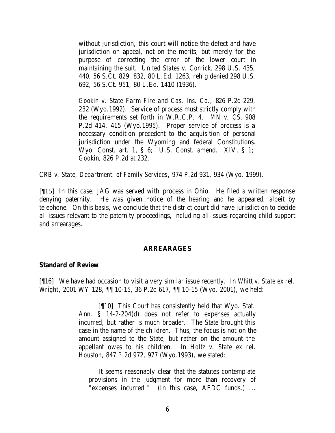without jurisdiction, this court will notice the defect and have jurisdiction on appeal, not on the merits, but merely for the purpose of correcting the error of the lower court in maintaining the suit. *United States v. Corrick*, 298 U.S. 435, 440, 56 S.Ct. 829, 832, 80 L.Ed. 1263, reh'g denied 298 U.S. 692, 56 S.Ct. 951, 80 L.Ed. 1410 (1936).

*Gookin v. State Farm Fire and Cas. Ins. Co.*, 826 P.2d 229, 232 (Wyo.1992). Service of process must strictly comply with the requirements set forth in W.R.C.P. 4. *MN v. CS*, 908 P.2d 414, 415 (Wyo.1995). Proper service of process is a necessary condition precedent to the acquisition of personal jurisdiction under the Wyoming and federal Constitutions. Wyo. Const. art. 1, § 6; U.S. Const. amend. XIV, § 1; *Gookin*, 826 P.2d at 232.

*CRB v. State, Department. of Family Services*, 974 P.2d 931, 934 (Wyo. 1999).

[¶15] In this case, JAG was served with process in Ohio. He filed a written response denying paternity. He was given notice of the hearing and he appeared, albeit by telephone. On this basis, we conclude that the district court did have jurisdiction to decide all issues relevant to the paternity proceedings, including all issues regarding child support and arrearages.

#### **ARREARAGES**

#### **Standard of Review**

[¶16] We have had occasion to visit a very similar issue recently. In *Whitt v. State ex rel. Wright*, 2001 WY 128, ¶¶ 10-15, 36 P.2d 617, ¶¶ 10-15 (Wyo. 2001), we held:

> [¶10] This Court has consistently held that Wyo. Stat. Ann. § 14-2-204(d) does not refer to expenses actually incurred, but rather is much broader. The State brought this case in the name of the children. Thus, the focus is not on the amount assigned to the State, but rather on the amount the appellant owes to his children. In *Holtz v. State ex rel. Houston*, 847 P.2d 972, 977 (Wyo.1993), we stated:

It seems reasonably clear that the statutes contemplate provisions in the judgment for more than recovery of "expenses incurred." (In this case, AFDC funds.) ...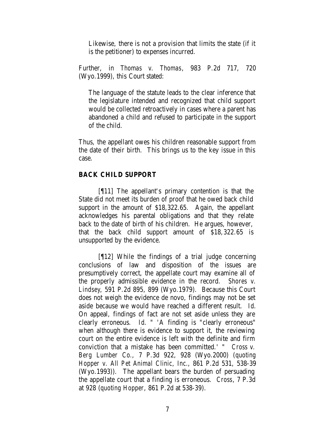Likewise, there is not a provision that limits the state (if it is the petitioner) to expenses incurred.

Further, in *Thomas v. Thomas*, 983 P.2d 717, 720 (Wyo.1999), this Court stated:

The language of the statute leads to the clear inference that the legislature intended and recognized that child support would be collected retroactively in cases where a parent has abandoned a child and refused to participate in the support of the child.

Thus, the appellant owes his children reasonable support from the date of their birth. This brings us to the key issue in this case.

#### **BACK CHILD SUPPORT**

[¶11] The appellant's primary contention is that the State did not meet its burden of proof that he owed back child support in the amount of \$18,322.65. Again, the appellant acknowledges his parental obligations and that they relate back to the date of birth of his children. He argues, however, that the back child support amount of \$18,322.65 is unsupported by the evidence.

[¶12] While the findings of a trial judge concerning conclusions of law and disposition of the issues are presumptively correct, the appellate court may examine all of the properly admissible evidence in the record. *Shores v. Lindsey*, 591 P.2d 895, 899 (Wyo.1979). Because this Court does not weigh the evidence de novo, findings may not be set aside because we would have reached a different result. *Id*. On appeal, findings of fact are not set aside unless they are clearly erroneous. *Id*. " 'A finding is "clearly erroneous" when although there is evidence to support it, the reviewing court on the entire evidence is left with the definite and firm conviction that a mistake has been committed.' " *Cross v. Berg Lumber Co.*, 7 P.3d 922, 928 (Wyo.2000) (*quoting Hopper v. All Pet Animal Clinic, Inc.*, 861 P.2d 531, 538-39 (Wyo.1993)). The appellant bears the burden of persuading the appellate court that a finding is erroneous. *Cross*, 7 P.3d at 928 (*quoting Hopper*, 861 P.2d at 538-39).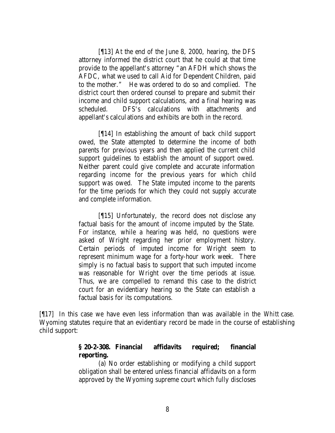[¶13] At the end of the June 8, 2000, hearing, the DFS attorney informed the district court that he could at that time provide to the appellant's attorney "an AFDH which shows the AFDC, what we used to call Aid for Dependent Children, paid to the mother." He was ordered to do so and complied. The district court then ordered counsel to prepare and submit their income and child support calculations, and a final hearing was scheduled. DFS's calculations with attachments and appellant's calculations and exhibits are both in the record.

[¶14] In establishing the amount of back child support owed, the State attempted to determine the income of both parents for previous years and then applied the current child support guidelines to establish the amount of support owed. Neither parent could give complete and accurate information regarding income for the previous years for which child support was owed. The State imputed income to the parents for the time periods for which they could not supply accurate and complete information.

[¶15] Unfortunately, the record does not disclose any factual basis for the amount of income imputed by the State. For instance, while a hearing was held, no questions were asked of Wright regarding her prior employment history. Certain periods of imputed income for Wright seem to represent minimum wage for a forty-hour work week. There simply is no factual basis to support that such imputed income was reasonable for Wright over the time periods at issue. Thus, we are compelled to remand this case to the district court for an evidentiary hearing so the State can establish a factual basis for its computations.

[¶17] In this case we have even less information than was available in the *Whitt* case. Wyoming statutes require that an evidentiary record be made in the course of establishing child support:

## **§ 20-2-308. Financial affidavits required; financial reporting.**

(a) No order establishing or modifying a child support obligation shall be entered unless financial affidavits on a form approved by the Wyoming supreme court which fully discloses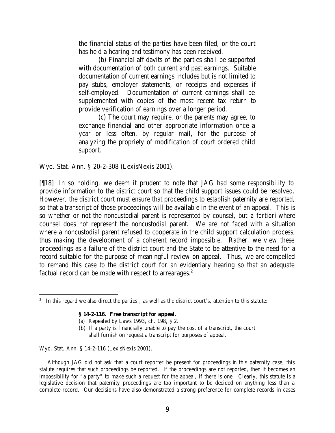the financial status of the parties have been filed, or the court has held a hearing and testimony has been received.

(b) Financial affidavits of the parties shall be supported with documentation of both current and past earnings. Suitable documentation of current earnings includes but is not limited to pay stubs, employer statements, or receipts and expenses if self-employed. Documentation of current earnings shall be supplemented with copies of the most recent tax return to provide verification of earnings over a longer period.

(c) The court may require, or the parents may agree, to exchange financial and other appropriate information once a year or less often, by regular mail, for the purpose of analyzing the propriety of modification of court ordered child support.

Wyo. Stat. Ann. § 20-2-308 (LexisNexis 2001).

[¶18] In so holding, we deem it prudent to note that JAG had some responsibility to provide information to the district court so that the child support issues could be resolved. However, the district court must ensure that proceedings to establish paternity are reported, so that a transcript of those proceedings will be available in the event of an appeal. This is so whether or not the noncustodial parent is represented by counsel, but *a fortiori* where counsel does not represent the noncustodial parent. We are not faced with a situation where a noncustodial parent refused to cooperate in the child support calculation process, thus making the development of a coherent record impossible. Rather, we view these proceedings as a failure of the district court and the State to be attentive to the need for a record suitable for the purpose of meaningful review on appeal. Thus, we are compelled to remand this case to the district court for an evidentiary hearing so that an adequate factual record can be made with respect to arrearages.<sup>2</sup>

(a) Repealed by Laws 1993, ch. 198, § 2.

Wyo. Stat. Ann. § 14-2-116 (LexisNexis 2001).

 Although JAG did not ask that a court reporter be present for proceedings in this paternity case, this statute requires that such proceedings be reported. If the proceedings are not reported, then it becomes an impossibility for "a party" to make such a request for the appeal, if there is one. Clearly, this statute is a legislative decision that paternity proceedings are too important to be decided on anything less than a complete record. Our decisions have also demonstrated a strong preference for complete records in cases

 $2\;\;$  In this regard we also direct the parties', as well as the district court's, attention to this statute:

**<sup>§ 14-2-116.</sup> Free transcript for appeal.**

<sup>(</sup>b) If a party is financially unable to pay the cost of a transcript, the court shall furnish on request a transcript for purposes of appeal.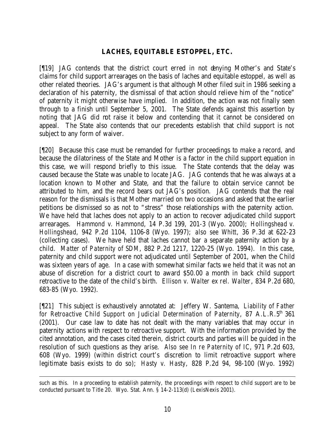## **LACHES, EQUITABLE ESTOPPEL, ETC.**

[¶19] JAG contends that the district court erred in not denying Mother's and State's claims for child support arrearages on the basis of laches and equitable estoppel, as well as other related theories. JAG's argument is that although Mother filed suit in 1986 seeking a declaration of his paternity, the dismissal of that action should relieve him of the "notice" of paternity it might otherwise have implied. In addition, the action was not finally seen through to a finish until September 5, 2001. The State defends against this assertion by noting that JAG did not raise it below and contending that it cannot be considered on appeal. The State also contends that our precedents establish that child support is not subject to any form of waiver.

[¶20] Because this case must be remanded for further proceedings to make a record, and because the dilatoriness of the State and Mother is a factor in the child support equation in this case, we will respond briefly to this issue. The State contends that the delay was caused because the State was unable to locate JAG. JAG contends that he was always at a location known to Mother and State, and that the failure to obtain service cannot be attributed to him, and the record bears out JAG's position. JAG contends that the real reason for the dismissals is that Mother married on two occasions and asked that the earlier petitions be dismissed so as not to "stress" those relationships with the paternity action. We have held that laches does not apply to an action to recover adjudicated child support arrearages. *Hammond v. Hammond*, 14 P.3d 199, 201-3 (Wyo. 2000); *Hollingshead v. Hollingshead*, 942 P.2d 1104, 1106-8 (Wyo. 1997); *also see Whitt*, 36 P.3d at 622-23 (collecting cases). We have held that laches cannot bar a separate paternity action by a child. *Matter of Paternity of SDM*, 882 P.2d 1217, 1220-25 (Wyo. 1994). In this case, paternity and child support were not adjudicated until September of 2001, when the Child was sixteen years of age. In a case with somewhat similar facts we held that it was not an abuse of discretion for a district court to award \$50.00 a month in back child support retroactive to the date of the child's birth. *Ellison v. Walter ex rel. Walter*, 834 P.2d 680, 683-85 (Wyo. 1992).

[¶21] This subject is exhaustively annotated at: Jeffery W. Santema, *Liability of Father for Retroactive Child Support on Judicial Determination of Paternity*, 87 A.L.R.5th 361 (2001). Our case law to date has not dealt with the many variables that may occur in paternity actions with respect to retroactive support. With the information provided by the cited annotation, and the cases cited therein, district courts and parties will be guided in the resolution of such questions as they arise. *Also see In re Paternity of IC*, 971 P.2d 603, 608 (Wyo. 1999) (within district court's discretion to limit retroactive support where legitimate basis exists to do so); *Hasty v. Hasty*, 828 P.2d 94, 98-100 (Wyo. 1992)

such as this. In a proceeding to establish paternity, the proceedings with respect to child support are to be conducted pursuant to Title 20. Wyo. Stat. Ann. § 14-2-113(d) (LexisNexis 2001).